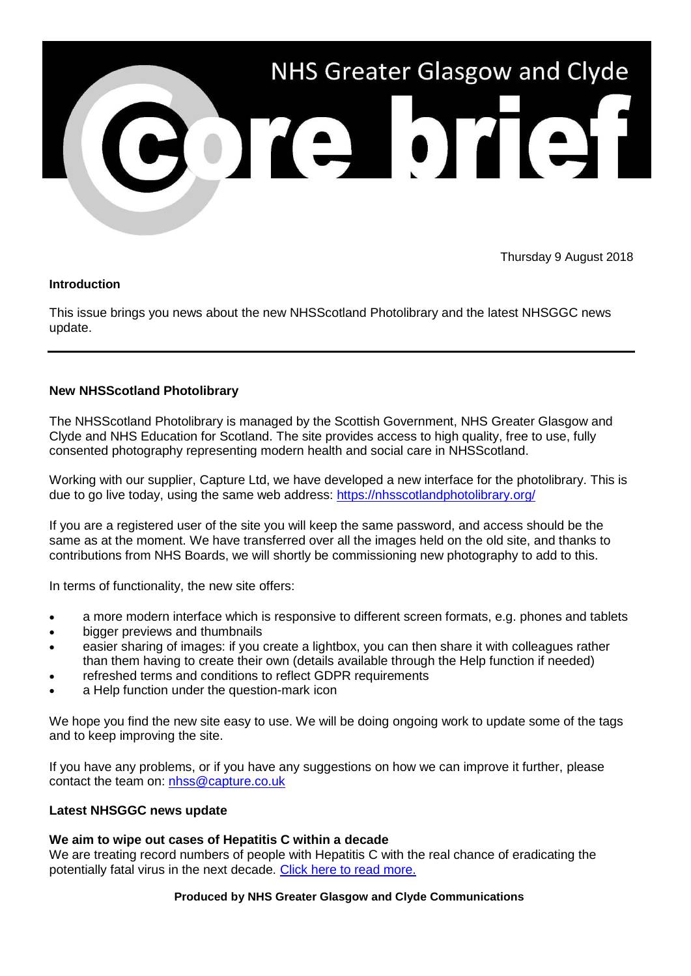

Thursday 9 August 2018

#### **Introduction**

This issue brings you news about the new NHSScotland Photolibrary and the latest NHSGGC news update.

# **New NHSScotland Photolibrary**

The NHSScotland Photolibrary is managed by the Scottish Government, NHS Greater Glasgow and Clyde and NHS Education for Scotland. The site provides access to high quality, free to use, fully consented photography representing modern health and social care in NHSScotland.

Working with our supplier, Capture Ltd, we have developed a new interface for the photolibrary. This is due to go live today, using the same web address: <https://nhsscotlandphotolibrary.org/>

If you are a registered user of the site you will keep the same password, and access should be the same as at the moment. We have transferred over all the images held on the old site, and thanks to contributions from NHS Boards, we will shortly be commissioning new photography to add to this.

In terms of functionality, the new site offers:

- a more modern interface which is responsive to different screen formats, e.g. phones and tablets
- bigger previews and thumbnails
- easier sharing of images: if you create a lightbox, you can then share it with colleagues rather than them having to create their own (details available through the Help function if needed)
- refreshed terms and conditions to reflect GDPR requirements
- a Help function under the question-mark icon

We hope you find the new site easy to use. We will be doing ongoing work to update some of the tags and to keep improving the site.

If you have any problems, or if you have any suggestions on how we can improve it further, please contact the team on: [nhss@capture.co.uk](mailto:nhss@capture.co.uk)

#### **Latest NHSGGC news update**

# **We aim to wipe out cases of Hepatitis C within a decade**

We are treating record numbers of people with Hepatitis C with the real chance of eradicating the potentially fatal virus in the next decade. [Click here to read more.](https://www.nhsggc.org.uk/about-us/media-centre/news/2019/04/aim-to-eradicate-hep-c/?utm_source=Core_Brief&utm_campaign=Core_Brief_hep_C)

#### **Produced by NHS Greater Glasgow and Clyde Communications**